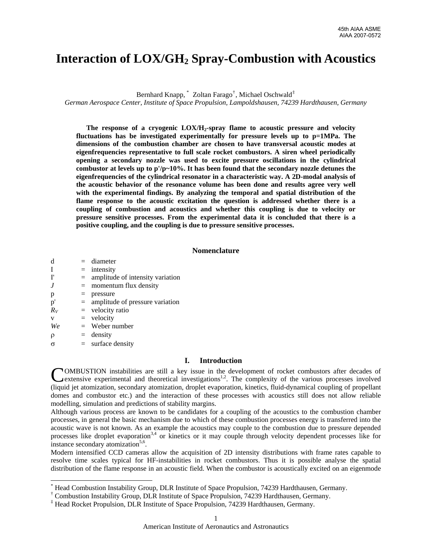# **Interaction of LOX/GH2 Spray-Combustion with Acoustics**

Bernhard Knapp,<sup>[\\*](#page-0-0)</sup> Zoltan Farago<sup>[†](#page-0-1)</sup>, Michael Oschwald<sup>[‡](#page-0-2)</sup>

*German Aerospace Center, Institute of Space Propulsion, Lampoldshausen, 74239 Hardthausen, Germany* 

**The response of a cryogenic LOX/H2-spray flame to acoustic pressure and velocity fluctuations has be investigated experimentally for pressure levels up to p=1MPa. The dimensions of the combustion chamber are chosen to have transversal acoustic modes at eigenfrequencies representative to full scale rocket combustors. A siren wheel periodically opening a secondary nozzle was used to excite pressure oscillations in the cylindrical combustor at levels up to p'/p~10%. It has been found that the secondary nozzle detunes the eigenfrequencies of the cylindrical resonator in a characteristic way. A 2D-modal analysis of the acoustic behavior of the resonance volume has been done and results agree very well with the experimental findings. By analyzing the temporal and spatial distribution of the flame response to the acoustic excitation the question is addressed whether there is a coupling of combustion and acoustics and whether this coupling is due to velocity or pressure sensitive processes. From the experimental data it is concluded that there is a positive coupling, and the coupling is due to pressure sensitive processes.** 

### **Nomenclature**

| d             |     | $=$ diameter                        |
|---------------|-----|-------------------------------------|
| I             |     | $=$ intensity                       |
| $\mathbf{I}'$ | $=$ | amplitude of intensity variation    |
| J             | $=$ | momentum flux density               |
| p             |     | pressure                            |
| p'            |     | $=$ amplitude of pressure variation |
| $R_V$         |     | $=$ velocity ratio                  |
| V             |     | $=$ velocity                        |
| We            |     | $=$ Weber number                    |
| $\rho$        |     | $=$ density                         |
| σ             |     | $=$ surface density                 |

l

# **I. Introduction**

COMBUSTION instabilities are still a key issue in the development of rocket combustors after decades of extensive experimental and theoretical investigations<sup>1,2</sup>. The complexity of the various processes involved extensive experimental and theoretical investigations<sup>1,2</sup>. The complexity of the various processes involved (liquid jet atomization, secondary atomization, droplet evaporation, kinetics, fluid-dynamical coupling of propellant domes and combustor etc.) and the interaction of these processes with acoustics still does not allow reliable modelling, simulation and predictions of stability margins.

Although various process are known to be candidates for a coupling of the acoustics to the combustion chamber processes, in general the basic mechanism due to which of these combustion processes energy is transferred into the acoustic wave is not known. As an example the acoustics may couple to the combustion due to pressure depended processes like droplet evaporation<sup>3,4</sup> or kinetics or it may couple through velocity dependent processes like for instance secondary atomization<sup>5,6</sup>.

Modern intensified CCD cameras allow the acquisition of 2D intensity distributions with frame rates capable to resolve time scales typical for HF-instabilities in rocket combustors. Thus it is possible analyse the spatial distribution of the flame response in an acoustic field. When the combustor is acoustically excited on an eigenmode

<span id="page-0-0"></span><sup>\*</sup> Head Combustion Instability Group, DLR Institute of Space Propulsion, 74239 Hardthausen, Germany.

<span id="page-0-1"></span><sup>†</sup> Combustion Instability Group, DLR Institute of Space Propulsion, 74239 Hardthausen, Germany.

<span id="page-0-2"></span><sup>‡</sup> Head Rocket Propulsion, DLR Institute of Space Propulsion, 74239 Hardthausen, Germany.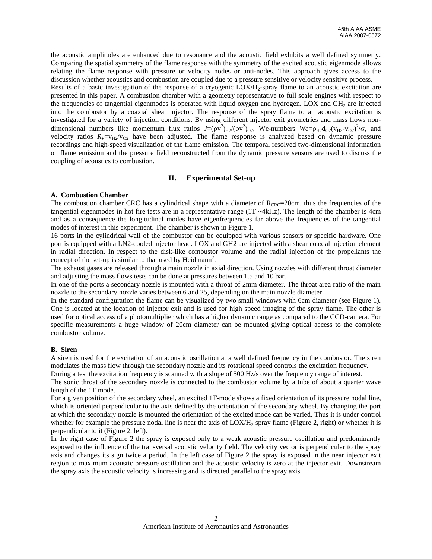the acoustic amplitudes are enhanced due to resonance and the acoustic field exhibits a well defined symmetry. Comparing the spatial symmetry of the flame response with the symmetry of the excited acoustic eigenmode allows relating the flame response with pressure or velocity nodes or anti-nodes. This approach gives access to the discussion whether acoustics and combustion are coupled due to a pressure sensitive or velocity sensitive process.

Results of a basic investigation of the response of a cryogenic LOX/H<sub>2</sub>-spray flame to an acoustic excitation are presented in this paper. A combustion chamber with a geometry representative to full scale engines with respect to the frequencies of tangential eigenmodes is operated with liquid oxygen and hydrogen. LOX and GH<sub>2</sub> are injected into the combustor by a coaxial shear injector. The response of the spray flame to an acoustic excitation is investigated for a variety of injection conditions. By using different injector exit geometries and mass flows nondimensional numbers like momentum flux ratios  $J=(\rho v^2)_{H2}/(\rho v^2)_{02}$ , We-numbers  $We=p_{H2}d_{O2}(v_{H2}-v_{O2})^2/\sigma$ , and velocity ratios  $R_V = v_{H2}/v_{O2}$  have been adjusted. The flame response is analyzed based on dynamic pressure recordings and high-speed visualization of the flame emission. The temporal resolved two-dimensional information on flame emission and the pressure field reconstructed from the dynamic pressure sensors are used to discuss the coupling of acoustics to combustion.

## **II. Experimental Set-up**

#### **A. Combustion Chamber**

The combustion chamber CRC has a cylindrical shape with a diameter of  $R_{CRC}$ =20cm, thus the frequencies of the tangential eigenmodes in hot fire tests are in a representative range  $(1T \sim 4kHz)$ . The length of the chamber is 4cm and as a consequence the longitudinal modes have eigenfrequencies far above the frequencies of the tangential modes of interest in this experiment. The chamber is shown in [Figure 1](#page-2-0).

16 ports in the cylindrical wall of the combustor can be equipped with various sensors or specific hardware. One port is equipped with a LN2-cooled injector head. LOX and GH2 are injected with a shear coaxial injection element in radial direction. In respect to the disk-like combustor volume and the radial injection of the propellants the concept of the set-up is similar to that used by Heidmann<sup>7</sup>.

The exhaust gases are released through a main nozzle in axial direction. Using nozzles with different throat diameter and adjusting the mass flows tests can be done at pressures between 1.5 and 10 bar.

In one of the ports a secondary nozzle is mounted with a throat of 2mm diameter. The throat area ratio of the main nozzle to the secondary nozzle varies between 6 and 25, depending on the main nozzle diameter.

In the standard configuration the flame can be visualized by two small windows with 6cm diameter (see [Figure 1](#page-2-0)). One is located at the location of injector exit and is used for high speed imaging of the spray flame. The other is used for optical access of a photomultiplier which has a higher dynamic range as compared to the CCD-camera. For specific measurements a huge window of 20cm diameter can be mounted giving optical access to the complete combustor volume.

## **B. Siren**

A siren is used for the excitation of an acoustic oscillation at a well defined frequency in the combustor. The siren modulates the mass flow through the secondary nozzle and its rotational speed controls the excitation frequency.

During a test the excitation frequency is scanned with a slope of 500 Hz/s over the frequency range of interest.

The sonic throat of the secondary nozzle is connected to the combustor volume by a tube of about a quarter wave length of the 1T mode.

For a given position of the secondary wheel, an excited 1T-mode shows a fixed orientation of its pressure nodal line, which is oriented perpendicular to the axis defined by the orientation of the secondary wheel. By changing the port at which the secondary nozzle is mounted the orientation of the excited mode can be varied. Thus it is under control whether for example the pressure nodal line is near the axis of  $LOX/H<sub>2</sub>$  spray flame [\(Figure 2](#page-2-1), right) or whether it is perpendicular to it [\(Figure 2,](#page-2-1) left).

In the right case of [Figure 2](#page-2-1) the spray is exposed only to a weak acoustic pressure oscillation and predominantly exposed to the influence of the transversal acoustic velocity field. The velocity vector is perpendicular to the spray axis and changes its sign twice a period. In the left case of [Figure 2](#page-2-1) the spray is exposed in the near injector exit region to maximum acoustic pressure oscillation and the acoustic velocity is zero at the injector exit. Downstream the spray axis the acoustic velocity is increasing and is directed parallel to the spray axis.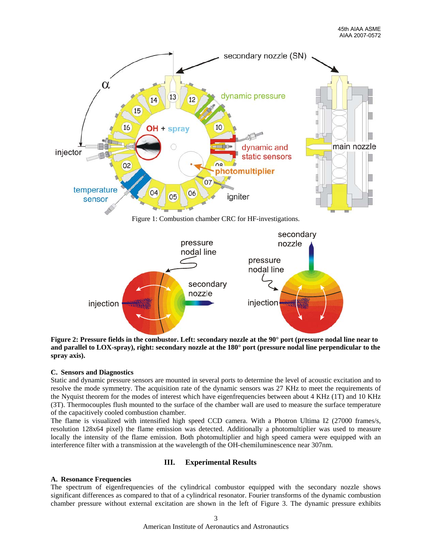

<span id="page-2-0"></span>

<span id="page-2-1"></span>**Figure 2: Pressure fields in the combustor. Left: secondary nozzle at the 90° port (pressure nodal line near to and parallel to LOX-spray), right: secondary nozzle at the 180° port (pressure nodal line perpendicular to the spray axis).** 

## **C. Sensors and Diagnostics**

Static and dynamic pressure sensors are mounted in several ports to determine the level of acoustic excitation and to resolve the mode symmetry. The acquisition rate of the dynamic sensors was 27 KHz to meet the requirements of the Nyquist theorem for the modes of interest which have eigenfrequencies between about 4 KHz (1T) and 10 KHz (3T). Thermocouples flush mounted to the surface of the chamber wall are used to measure the surface temperature of the capacitively cooled combustion chamber.

The flame is visualized with intensified high speed CCD camera. With a Photron Ultima I2 (27000 frames/s, resolution 128x64 pixel) the flame emission was detected. Additionally a photomultiplier was used to measure locally the intensity of the flame emission. Both photomultiplier and high speed camera were equipped with an interference filter with a transmission at the wavelength of the OH-chemiluminescence near 307nm.

## **III. Experimental Results**

## **A. Resonance Frequencies**

The spectrum of eigenfrequencies of the cylindrical combustor equipped with the secondary nozzle shows significant differences as compared to that of a cylindrical resonator. Fourier transforms of the dynamic combustion chamber pressure without external excitation are shown in the left of [Figure 3](#page-3-0). The dynamic pressure exhibits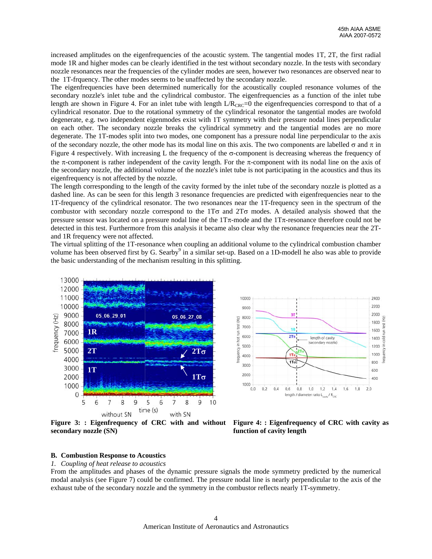increased amplitudes on the eigenfrequencies of the acoustic system. The tangential modes 1T, 2T, the first radial mode 1R and higher modes can be clearly identified in the test without secondary nozzle. In the tests with secondary nozzle resonances near the frequencies of the cylinder modes are seen, however two resonances are observed near to the 1T-frquency. The other modes seems to be unaffected by the secondary nozzle.

The eigenfrequencies have been determined numerically for the acoustically coupled resonance volumes of the secondary nozzle's inlet tube and the cylindrical combustor. The eigenfrequencies as a function of the inlet tube length are shown in [Figure 4.](#page-3-0) For an inlet tube with length  $L/R_{CRC}=0$  the eigenfrequencies correspond to that of a cylindrical resonator. Due to the rotational symmetry of the cylindrical resonator the tangential modes are twofold degenerate, e.g. two independent eigenmodes exist with 1T symmetry with their pressure nodal lines perpendicular on each other. The secondary nozzle breaks the cylindrical symmetry and the tangential modes are no more degenerate. The 1T-modes split into two modes, one component has a pressure nodal line perpendicular to the axis of the secondary nozzle, the other mode has its modal line on this axis. The two components are labelled  $\sigma$  and  $\pi$  in [Figure 4](#page-3-0) respectively. With increasing L the frequency of the  $\sigma$ -component is decreasing whereas the frequency of the π-component is rather independent of the cavity length. For the π-component with its nodal line on the axis of the secondary nozzle, the additional volume of the nozzle's inlet tube is not participating in the acoustics and thus its eigenfrequency is not affected by the nozzle.

The length corresponding to the length of the cavity formed by the inlet tube of the secondary nozzle is plotted as a dashed line. As can be seen for this length 3 resonance frequencies are predicted with eigenfrequencies near to the 1T-frequency of the cylindrical resonator. The two resonances near the 1T-frequency seen in the spectrum of the combustor with secondary nozzle correspond to the  $1T\sigma$  and  $2T\sigma$  modes. A detailed analysis showed that the pressure sensor was located on a pressure nodal line of the  $1T\pi$ -mode and the  $1T\pi$ -resonance therefore could not be detected in this test. Furthermore from this analysis it became also clear why the resonance frequencies near the 2Tand 1R frequency were not affected.

The virtual splitting of the 1T-resonance when coupling an additional volume to the cylindrical combustion chamber volume has been observed first by G. Searby<sup>9</sup> in a similar set-up. Based on a 1D-modell he also was able to provide the basic understanding of the mechanism resulting in this splitting.



<span id="page-3-0"></span>**Figure 3: : Eigenfrequency of CRC with and without secondary nozzle (SN)** 



**Figure 4: : Eigenfrequency of CRC with cavity as function of cavity length** 

### **B. Combustion Response to Acoustics**

*1. Coupling of heat release to acoustics* 

From the amplitudes and phases of the dynamic pressure signals the mode symmetry predicted by the numerical modal analysis (see [Figure 7](#page-6-0)) could be confirmed. The pressure nodal line is nearly perpendicular to the axis of the exhaust tube of the secondary nozzle and the symmetry in the combustor reflects nearly 1T-symmetry.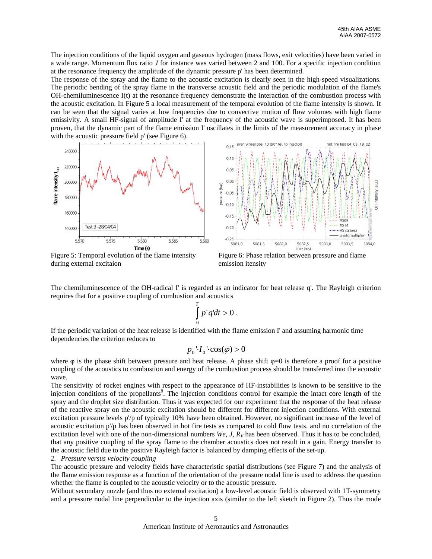The injection conditions of the liquid oxygen and gaseous hydrogen (mass flows, exit velocities) have been varied in a wide range. Momentum flux ratio *J* for instance was varied between 2 and 100. For a specific injection condition at the resonance frequency the amplitude of the dynamic pressure p' has been determined.

The response of the spray and the flame to the acoustic excitation is clearly seen in the high-speed visualizations. The periodic bending of the spray flame in the transverse acoustic field and the periodic modulation of the flame's OH-chemiluminescence I(t) at the resonance frequency demonstrate the interaction of the combustion process with the acoustic excitation. In [Figure 5](#page-4-0) a local measurement of the temporal evolution of the flame intensity is shown. It can be seen that the signal varies at low frequencies due to convective motion of flow volumes with high flame emissivity. A small HF-signal of amplitude I' at the frequency of the acoustic wave is superimposed. It has been proven, that the dynamic part of the flame emission I' oscillates in the limits of the measurement accuracy in phase with the acoustic pressure field p' (see [Figure 6](#page-4-0)).



<span id="page-4-0"></span>Figure 5: Temporal evolution of the flame intensity during external excitaion



Figure 6: Phase relation between pressure and flame emission itensity

The chemiluminescence of the OH-radical I' is regarded as an indicator for heat release q'. The Rayleigh criterion requires that for a positive coupling of combustion and acoustics

$$
\int\limits_{0}^{T} p'q'dt > 0
$$

.

If the periodic variation of the heat release is identified with the flame emission I' and assuming harmonic time dependencies the criterion reduces to

$$
p_0 \cdot I_0 \cdot \cos(\varphi) > 0
$$

where  $\varphi$  is the phase shift between pressure and heat release. A phase shift  $\varphi=0$  is therefore a proof for a positive coupling of the acoustics to combustion and energy of the combustion process should be transferred into the acoustic wave.

The sensitivity of rocket engines with respect to the appearance of HF-instabilities is known to be sensitive to the injection conditions of the propellants<sup>8</sup>. The injection conditions control for example the intact core length of the spray and the droplet size distribution. Thus it was expected for our experiment that the response of the heat release of the reactive spray on the acoustic excitation should be different for different injection conditions. With external excitation pressure levels p'/p of typically 10% have been obtained. However, no significant increase of the level of acoustic excitation p'/p has been observed in hot fire tests as compared to cold flow tests. and no correlation of the excitation level with one of the non-dimensional numbers *We, J, R<sub>V</sub>* has been observed. Thus it has to be concluded, that any positive coupling of the spray flame to the chamber acoustics does not result in a gain. Energy transfer to the acoustic field due to the positive Rayleigh factor is balanced by damping effects of the set-up.

*2. Pressure versus velocity coupling* 

The acoustic pressure and velocity fields have characteristic spatial distributions (see [Figure 7\)](#page-6-0) and the analysis of the flame emission response as a function of the orientation of the pressure nodal line is used to address the question whether the flame is coupled to the acoustic velocity or to the acoustic pressure.

Without secondary nozzle (and thus no external excitation) a low-level acoustic field is observed with 1T-symmetry and a pressure nodal line perpendicular to the injection axis (similar to the left sketch in [Figure 2](#page-2-1)). Thus the mode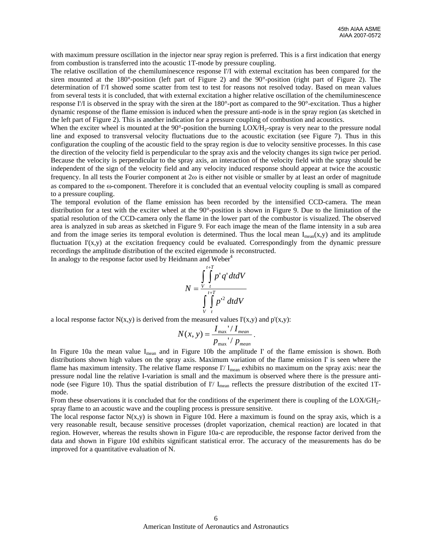with maximum pressure oscillation in the injector near spray region is preferred. This is a first indication that energy from combustion is transferred into the acoustic 1T-mode by pressure coupling.

The relative oscillation of the chemiluminescence response I'/I with external excitation has been compared for the siren mounted at the 180°-position (left part of [Figure 2\)](#page-2-1) and the 90°-position (right part of [Figure 2\)](#page-2-1). The determination of I'/I showed some scatter from test to test for reasons not resolved today. Based on mean values from several tests it is concluded, that with external excitation a higher relative oscillation of the chemiluminescence response I'/I is observed in the spray with the siren at the 180°-port as compared to the 90°-excitation. Thus a higher dynamic response of the flame emission is induced when the pressure anti-node is in the spray region (as sketched in the left part of [Figure 2](#page-2-1)). This is another indication for a pressure coupling of combustion and acoustics.

When the exciter wheel is mounted at the  $90^\circ$ -position the burning LOX/H<sub>2</sub>-spray is very near to the pressure nodal line and exposed to transversal velocity fluctuations due to the acoustic excitation (see [Figure 7\)](#page-6-0). Thus in this configuration the coupling of the acoustic field to the spray region is due to velocity sensitive processes. In this case the direction of the velocity field is perpendicular to the spray axis and the velocity changes its sign twice per period. Because the velocity is perpendicular to the spray axis, an interaction of the velocity field with the spray should be independent of the sign of the velocity field and any velocity induced response should appear at twice the acoustic frequency. In all tests the Fourier component at 2ω is either not visible or smaller by at least an order of magnitude as compared to the ω-component. Therefore it is concluded that an eventual velocity coupling is small as compared to a pressure coupling.

The temporal evolution of the flame emission has been recorded by the intensified CCD-camera. The mean distribution for a test with the exciter wheel at the 90°-position is shown in [Figure 9](#page-6-1). Due to the limitation of the spatial resolution of the CCD-camera only the flame in the lower part of the combustor is visualized. The observed area is analyzed in sub areas as sketched in [Figure 9](#page-6-1). For each image the mean of the flame intensity in a sub area and from the image series its temporal evolution is determined. Thus the local mean  $I_{mean}(x,y)$  and its amplitude fluctuation I'(x,y) at the excitation frequency could be evaluated. Correspondingly from the dynamic pressure recordings the amplitude distribution of the excited eigenmode is reconstructed.

In analogy to the response factor used by Heidmann and Weber<sup>4</sup>

$$
N = \frac{\int_{V}^{t+T} \int_{V} p' q' dt dV}{\int_{V}^{t+T} \int_{V} p'^2 dt dV}
$$

a local response factor  $N(x,y)$  is derived from the measured values  $\Gamma(x,y)$  and  $p'(x,y)$ :

$$
N(x, y) = \frac{I_{\max} / I_{\text{mean}}}{p_{\max} / p_{\text{mean}}}.
$$

In [Figure 10a](#page-7-0) the mean value  $I_{\text{mean}}$  and in [Figure 10](#page-7-0)b the amplitude I' of the flame emission is shown. Both distributions shown high values on the spray axis. Maximum variation of the flame emission I' is seen where the flame has maximum intensity. The relative flame response  $I'/I_{mean}$  exhibits no maximum on the spray axis: near the pressure nodal line the relative I-variation is small and the maximum is observed where there is the pressure anti-node (see [Figure 10\)](#page-7-0). Thus the spatial distribution of I'/ I<sub>mean</sub> reflects the pressure distribution of the excited 1Tmode.

From these observations it is concluded that for the conditions of the experiment there is coupling of the LOX/GH<sub>2</sub>spray flame to an acoustic wave and the coupling process is pressure sensitive.

The local response factor  $N(x,y)$  is shown in [Figure 10](#page-7-0)d. Here a maximum is found on the spray axis, which is a very reasonable result, because sensitive processes (droplet vaporization, chemical reaction) are located in that region. However, whereas the results shown in [Figure 10](#page-7-0)a-c are reproducible, the response factor derived from the data and shown in [Figure 10d](#page-7-0) exhibits significant statistical error. The accuracy of the measurements has do be improved for a quantitative evaluation of N.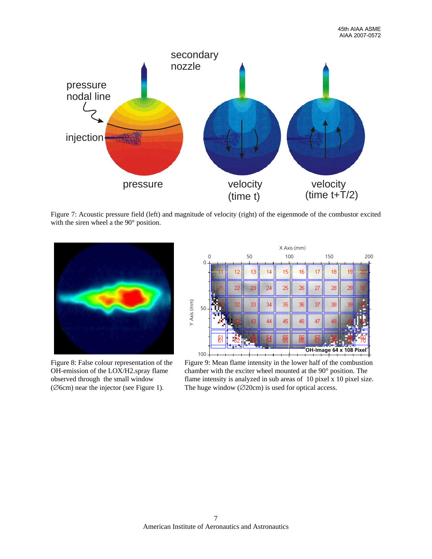

<span id="page-6-0"></span>Figure 7: Acoustic pressure field (left) and magnitude of velocity (right) of the eigenmode of the combustor excited with the siren wheel a the 90° position.

<span id="page-6-1"></span>

Figure 8: False colour representation of the OH-emission of the LOX/H2.spray flame observed through the small window (∅6cm) near the injector (see [Figure 1](#page-2-0)).



Figure 9: Mean flame intensity in the lower half of the combustion chamber with the exciter wheel mounted at the 90° position. The flame intensity is analyzed in sub areas of 10 pixel x 10 pixel size. The huge window (∅20cm) is used for optical access.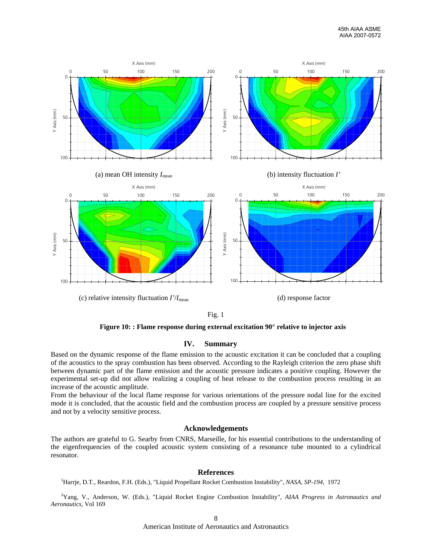

Fig. 1

**Figure 10: : Flame response during external excitation 90° relative to injector axis** 

### **IV. Summary**

<span id="page-7-0"></span>Based on the dynamic response of the flame emission to the acoustic excitation it can be concluded that a coupling of the acoustics to the spray combustion has been observed. According to the Rayleigh criterion the zero phase shift between dynamic part of the flame emission and the acoustic pressure indicates a positive coupling. However the experimental set-up did not allow realizing a coupling of heat release to the combustion process resulting in an increase of the acoustic amplitude.

From the behaviour of the local flame response for various orientations of the pressure nodal line for the excited mode it is concluded, that the acoustic field and the combustion process are coupled by a pressure sensitive process and not by a velocity sensitive process.

#### **Acknowledgements**

The authors are grateful to G. Searby from CNRS, Marseille, for his essential contributions to the understanding of the eigenfrequencies of the coupled acoustic system consisting of a resonance tube mounted to a cylindrical resonator.

### **References**

<sup>1</sup>Harrje, D.T., Reardon, F.H. (Eds.), "Liquid Propellant Rocket Combustion Instability", *NASA, SP-194*, 1972

2 Yang, V., Anderson, W. (Eds.), "Liquid Rocket Engine Combustion Instability", *AIAA Progress in Astronautics and Aeronautics*, Vol 169